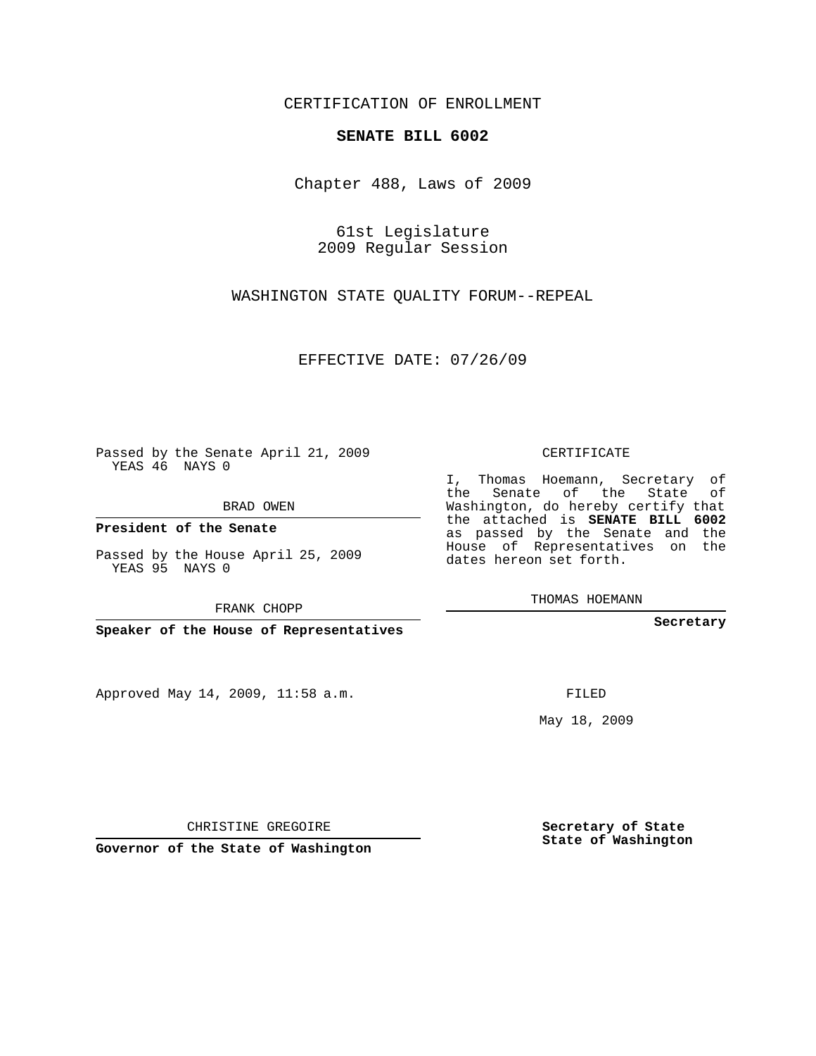## CERTIFICATION OF ENROLLMENT

## **SENATE BILL 6002**

Chapter 488, Laws of 2009

61st Legislature 2009 Regular Session

WASHINGTON STATE QUALITY FORUM--REPEAL

EFFECTIVE DATE: 07/26/09

Passed by the Senate April 21, 2009 YEAS 46 NAYS 0

BRAD OWEN

**President of the Senate**

Passed by the House April 25, 2009 YEAS 95 NAYS 0

FRANK CHOPP

**Speaker of the House of Representatives**

Approved May 14, 2009, 11:58 a.m.

CERTIFICATE

I, Thomas Hoemann, Secretary of the Senate of the State of Washington, do hereby certify that the attached is **SENATE BILL 6002** as passed by the Senate and the House of Representatives on the dates hereon set forth.

THOMAS HOEMANN

**Secretary**

FILED

May 18, 2009

**Secretary of State State of Washington**

CHRISTINE GREGOIRE

**Governor of the State of Washington**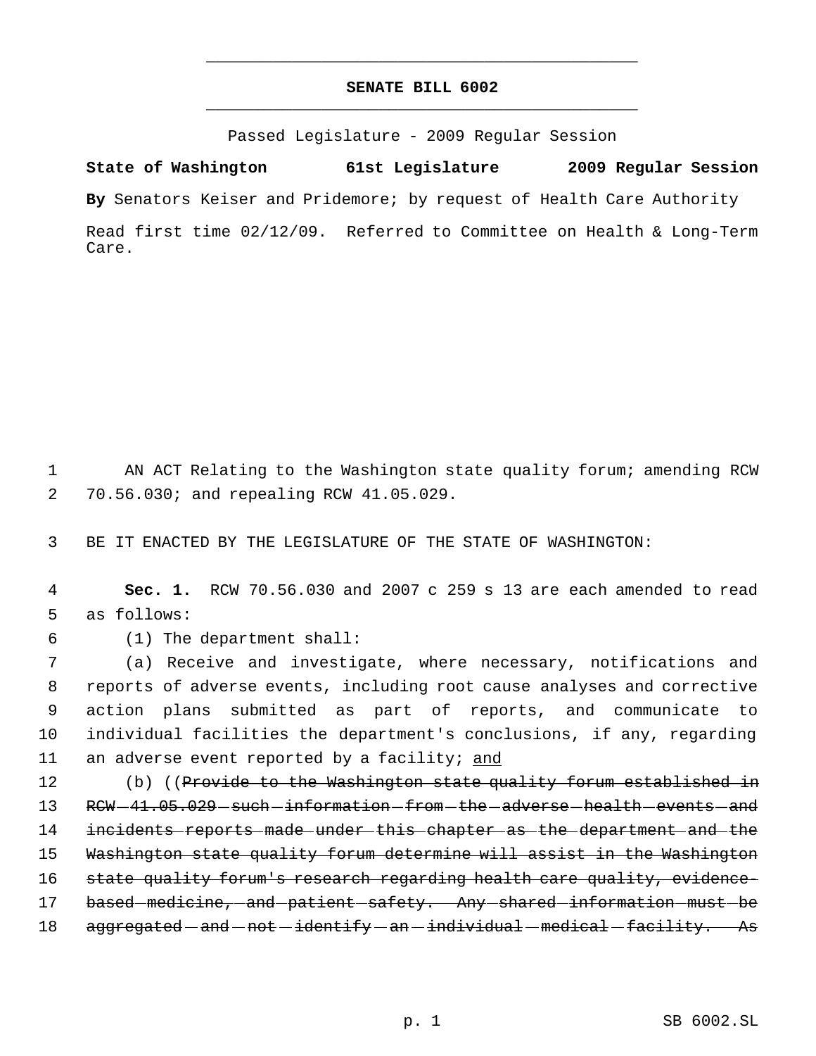## **SENATE BILL 6002** \_\_\_\_\_\_\_\_\_\_\_\_\_\_\_\_\_\_\_\_\_\_\_\_\_\_\_\_\_\_\_\_\_\_\_\_\_\_\_\_\_\_\_\_\_

\_\_\_\_\_\_\_\_\_\_\_\_\_\_\_\_\_\_\_\_\_\_\_\_\_\_\_\_\_\_\_\_\_\_\_\_\_\_\_\_\_\_\_\_\_

Passed Legislature - 2009 Regular Session

**State of Washington 61st Legislature 2009 Regular Session**

**By** Senators Keiser and Pridemore; by request of Health Care Authority

Read first time 02/12/09. Referred to Committee on Health & Long-Term Care.

 1 AN ACT Relating to the Washington state quality forum; amending RCW 2 70.56.030; and repealing RCW 41.05.029.

3 BE IT ENACTED BY THE LEGISLATURE OF THE STATE OF WASHINGTON:

 4 **Sec. 1.** RCW 70.56.030 and 2007 c 259 s 13 are each amended to read 5 as follows:

6 (1) The department shall:

 (a) Receive and investigate, where necessary, notifications and reports of adverse events, including root cause analyses and corrective action plans submitted as part of reports, and communicate to individual facilities the department's conclusions, if any, regarding 11 an adverse event reported by a facility; and

12 (b) ((Provide to the Washington state quality forum established in 13 RCW-41.05.029-such-information-from-the-adverse-health-events-and 14 incidents reports made under this chapter as the department and the 15 Washington state quality forum determine will assist in the Washington 16 state quality forum's research regarding health care quality, evidence-17 based-medicine,-and-patient-safety. Any-shared-information-must-be 18 aggregated - and - not - identify - an - individual - medical - facility. As